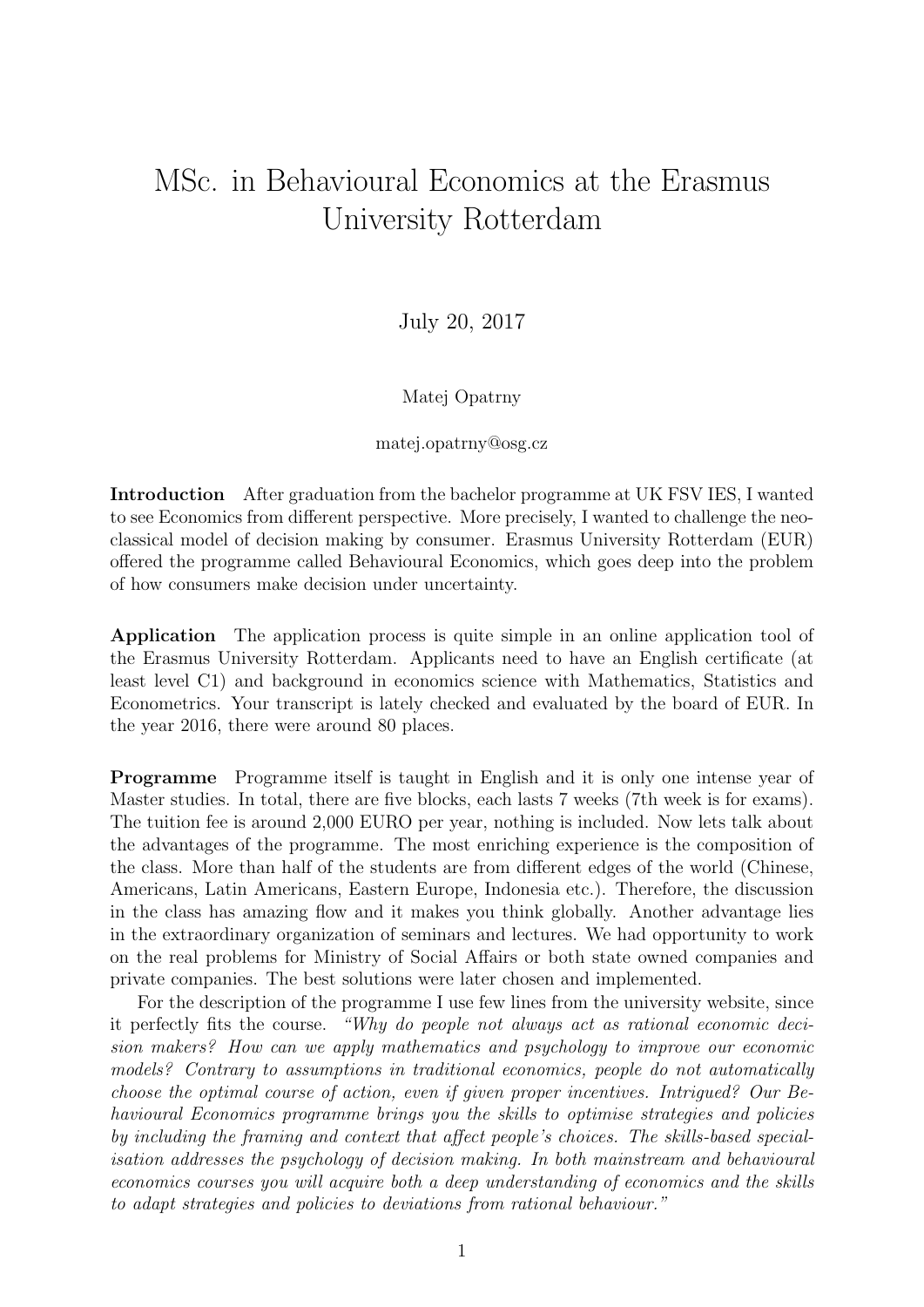## MSc. in Behavioural Economics at the Erasmus University Rotterdam

July 20, 2017

## Matej Opatrny

## matej.opatrny@osg.cz

Introduction After graduation from the bachelor programme at UK FSV IES, I wanted to see Economics from different perspective. More precisely, I wanted to challenge the neoclassical model of decision making by consumer. Erasmus University Rotterdam (EUR) offered the programme called Behavioural Economics, which goes deep into the problem of how consumers make decision under uncertainty.

Application The application process is quite simple in an online application tool of the Erasmus University Rotterdam. Applicants need to have an English certificate (at least level C1) and background in economics science with Mathematics, Statistics and Econometrics. Your transcript is lately checked and evaluated by the board of EUR. In the year 2016, there were around 80 places.

Programme Programme itself is taught in English and it is only one intense year of Master studies. In total, there are five blocks, each lasts 7 weeks (7th week is for exams). The tuition fee is around 2,000 EURO per year, nothing is included. Now lets talk about the advantages of the programme. The most enriching experience is the composition of the class. More than half of the students are from different edges of the world (Chinese, Americans, Latin Americans, Eastern Europe, Indonesia etc.). Therefore, the discussion in the class has amazing flow and it makes you think globally. Another advantage lies in the extraordinary organization of seminars and lectures. We had opportunity to work on the real problems for Ministry of Social Affairs or both state owned companies and private companies. The best solutions were later chosen and implemented.

For the description of the programme I use few lines from the university website, since it perfectly fits the course. "Why do people not always act as rational economic decision makers? How can we apply mathematics and psychology to improve our economic models? Contrary to assumptions in traditional economics, people do not automatically choose the optimal course of action, even if given proper incentives. Intrigued? Our Behavioural Economics programme brings you the skills to optimise strategies and policies by including the framing and context that affect people's choices. The skills-based specialisation addresses the psychology of decision making. In both mainstream and behavioural economics courses you will acquire both a deep understanding of economics and the skills to adapt strategies and policies to deviations from rational behaviour."